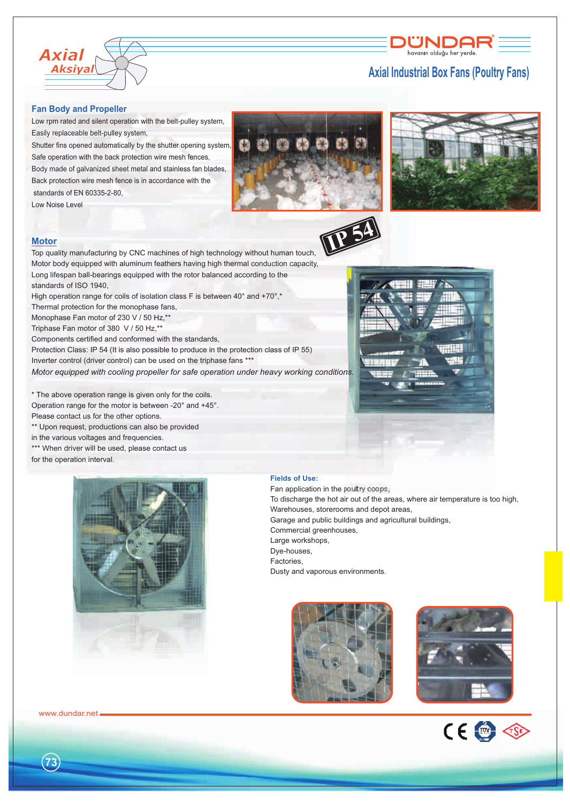

## **Axial Industrial Box Fans (Poultry Fans)**

ÜNDAF havanın olduğu her yerdi

#### **Fan Body and Propeller**

Low rpm rated and silent operation with the belt-pulley system, Easily replaceable belt-pulley system,

Shutter fins opened automatically by the shutter opening system, Safe operation with the back protection wire mesh fences, Body made of galvanized sheet metal and stainless fan blades,

Back protection wire mesh fence is in accordance with the standards of EN 60335-2-80,

Low Noise Level



**IP 54**



### **Motor**

Top quality manufacturing by CNC machines of high technology without human touch, Motor body equipped with aluminum feathers having high thermal conduction capacity, Long lifespan ball-bearings equipped with the rotor balanced according to the standards of ISO 1940,

High operation range for coils of isolation class F is between 40° and +70°,\*

Thermal protection for the monophase fans,

Monophase Fan motor of 230 V / 50 Hz,\*\*

Triphase Fan motor of 380 V / 50 Hz,\*\*

Components certified and conformed with the standards,

Protection Class: IP 54 (It is also possible to produce in the protection class of IP 55) Inverter control (driver control) can be used on the triphase fans \*\*\*

*Motor equipped with cooling propeller for safe operation under heavy working conditions.*

\* The above operation range is given only for the coils. Operation range for the motor is between -20° and +45°. Please contact us for the other options.

\*\* Upon request, productions can also be provided

in the various voltages and frequencies.

\*\*\* When driver will be used, please contact us for the operation interval.



**Fields of Use:**

Fan application in the poultry coops, To discharge the hot air out of the areas, where air temperature is too high, Warehouses, storerooms and depot areas, Garage and public buildings and agricultural buildings, Commercial greenhouses, Large workshops, Dye-houses, Factories, Dusty and vaporous environments.

相当相 音

**PA** 







www.dundar.net

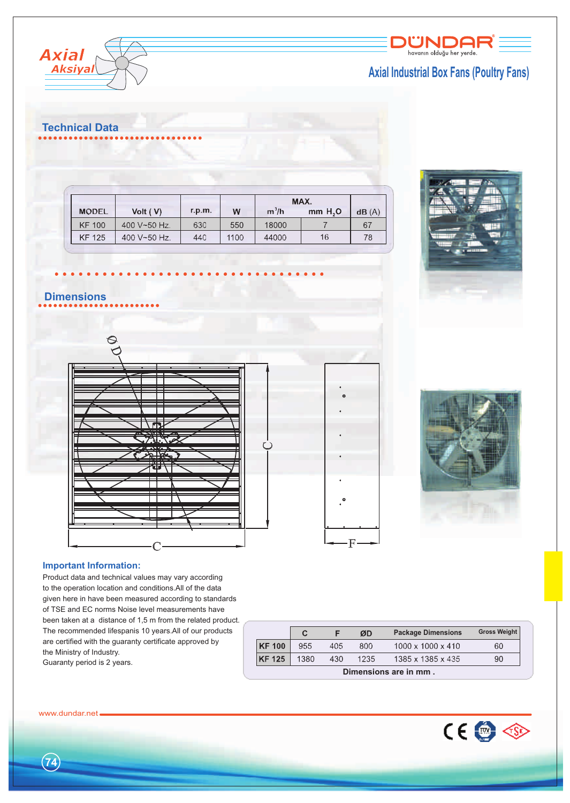

# **Axial Industrial Box Fans (Poultry Fans)**



# **Technical Data**

|               |              |        |      | MAX.    |         |       |
|---------------|--------------|--------|------|---------|---------|-------|
| <b>MODEL</b>  | Volt $(V)$   | r.p.m. | w    | $m^3/h$ | mm H, O | dB(A) |
| <b>KF 100</b> | 400 V~50 Hz. | 630    | 550  | 18000   |         | 67    |
| <b>KF 125</b> | 400 V~50 Hz. | 440    | 1100 | 44000   | 16      | 78    |





# $\circ$

- F



## **Important Information:**

Product data and technical values may vary according to the operation location and conditions.All of the data given here in have been measured according to standards of TSE and EC norms Noise level measurements have been taken at a distance of 1,5 m from the related product. The recommended lifespanis 10 years.All of our products are certified with the guaranty certificate approved by the Ministry of Industry. Guaranty period is 2 years.

|                       | С    |     | ØD   | <b>Package Dimensions</b>     | <b>Gross Weight</b> |  |  |  |  |
|-----------------------|------|-----|------|-------------------------------|---------------------|--|--|--|--|
| <b>KF100</b>          | 955  | 405 | 800  | $1000 \times 1000 \times 410$ | 60                  |  |  |  |  |
| <b>KF 125</b>         | 1380 | 430 | 1235 | 1385 x 1385 x 435             | 90                  |  |  |  |  |
| Dimensions are in mm. |      |     |      |                               |                     |  |  |  |  |



**74**